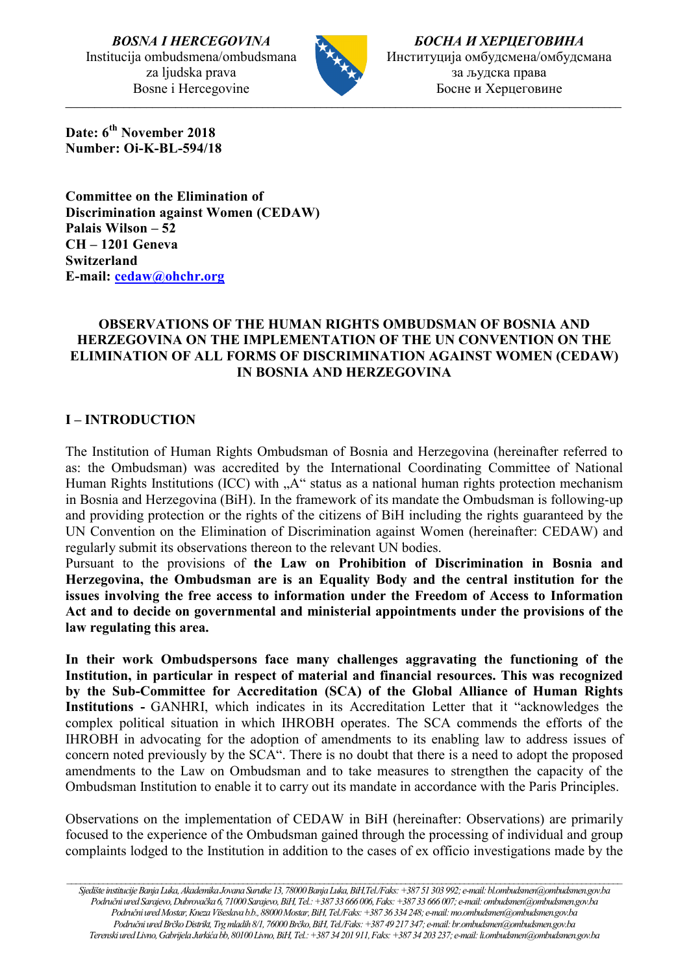*BOSNA I HERCEGOVINA* Institucija ombudsmena/ombudsmana za ljudska prava Bosne i Hercegovine



\_\_\_\_\_\_\_\_\_\_\_\_\_\_\_\_\_\_\_\_\_\_\_\_\_\_\_\_\_\_\_\_\_\_\_\_\_\_\_\_\_\_\_\_\_\_\_\_\_\_\_\_\_\_\_\_\_\_\_\_\_\_\_\_\_\_\_\_\_\_\_\_\_\_\_\_\_\_\_\_\_\_\_\_\_\_\_\_\_\_\_\_\_\_\_\_

*БОСНА И ХЕРЦЕГОВИНА* Институција омбудсмена/омбудсмана за људска права Босне и Херцеговине

**Date: 6th November 2018 Number: Oi-K-BL-594/18**

**Committee on the Elimination of Discrimination against Women (CEDAW) Palais Wilson – 52 CH – 1201 Geneva Switzerland E-mail: [cedaw@ohchr.org](mailto:cedaw@ohchr.org)**

### **OBSERVATIONS OF THE HUMAN RIGHTS OMBUDSMAN OF BOSNIA AND HERZEGOVINA ON THE IMPLEMENTATION OF THE UN CONVENTION ON THE ELIMINATION OF ALL FORMS OF DISCRIMINATION AGAINST WOMEN (CEDAW) IN BOSNIA AND HERZEGOVINA**

### **I – INTRODUCTION**

The Institution of Human Rights Ombudsman of Bosnia and Herzegovina (hereinafter referred to as: the Ombudsman) was accredited by the International Coordinating Committee of National Human Rights Institutions (ICC) with  $A^{\prime\prime}$  status as a national human rights protection mechanism in Bosnia and Herzegovina (BiH). In the framework of its mandate the Ombudsman is following-up and providing protection or the rights of the citizens of BiH including the rights guaranteed by the UN Convention on the Elimination of Discrimination against Women (hereinafter: CEDAW) and regularly submit its observations thereon to the relevant UN bodies.

Pursuant to the provisions of **the Law on Prohibition of Discrimination in Bosnia and Herzegovina, the Ombudsman are is an Equality Body and the central institution for the issues involving the free access to information under the Freedom of Access to Information Act and to decide on governmental and ministerial appointments under the provisions of the law regulating this area.** 

**In their work Ombudspersons face many challenges aggravating the functioning of the Institution, in particular in respect of material and financial resources. This was recognized by the Sub-Committee for Accreditation (SCA) of the Global Alliance of Human Rights Institutions -** GANHRI, which indicates in its Accreditation Letter that it "acknowledges the complex political situation in which IHROBH operates. The SCA commends the efforts of the IHROBH in advocating for the adoption of amendments to its enabling law to address issues of concern noted previously by the SCA". There is no doubt that there is a need to adopt the proposed amendments to the Law on Ombudsman and to take measures to strengthen the capacity of the Ombudsman Institution to enable it to carry out its mandate in accordance with the Paris Principles.

Observations on the implementation of CEDAW in BiH (hereinafter: Observations) are primarily focused to the experience of the Ombudsman gained through the processing of individual and group complaints lodged to the Institution in addition to the cases of ex officio investigations made by the

*\_\_\_\_\_\_\_\_\_\_\_\_\_\_\_\_\_\_\_\_\_\_\_\_\_\_\_\_\_\_\_\_\_\_\_\_\_\_\_\_\_\_\_\_\_\_\_\_\_\_\_\_\_\_\_\_\_\_\_\_\_\_\_\_\_\_\_\_\_\_\_\_\_\_\_\_\_\_\_\_\_\_\_\_\_\_\_\_\_\_\_\_\_\_\_\_\_\_\_\_\_\_\_\_\_\_\_\_\_\_\_\_\_\_\_\_\_\_\_\_\_\_\_*

*Sjedište institucije Banja Luka, Akademika Jovana Surutke 13, 78000 Banja Luka, BiH,Tel./Faks: +387 51 303 992; e-mail: bl.ombudsmen@ombudsmen.gov.ba Područni ured Sarajevo, Dubrovačka6, 71000 Sarajevo,BiH,Tel.: +387 33 666 006,Faks: +387 33 666 007;e-mail[: ombudsmen@ombudsmen.gov.ba](mailto:ombudsmen@ombudsmen.gov.ba) Područni ured Mostar, Kneza Višeslava b.b., 88000 Mostar,BiH,Tel./Faks: +387 36 334 248;e-mail: mo.ombudsmen@ombudsmen.gov.ba Područni ured Brčko Distrikt, Trg mladih 8/1, 76000 Brčko,BiH,Tel./Faks: +387 49 217 347;e-mail:br.ombudsmen@ombudsmen.gov.ba Terenski ured Livno, Gabrijela Jurkića bb, 80100 Livno,BiH,Tel.: +387 34 201 911,Faks: +387 34 203 237;e-mail: li.ombudsmen@ombudsmen.gov.ba*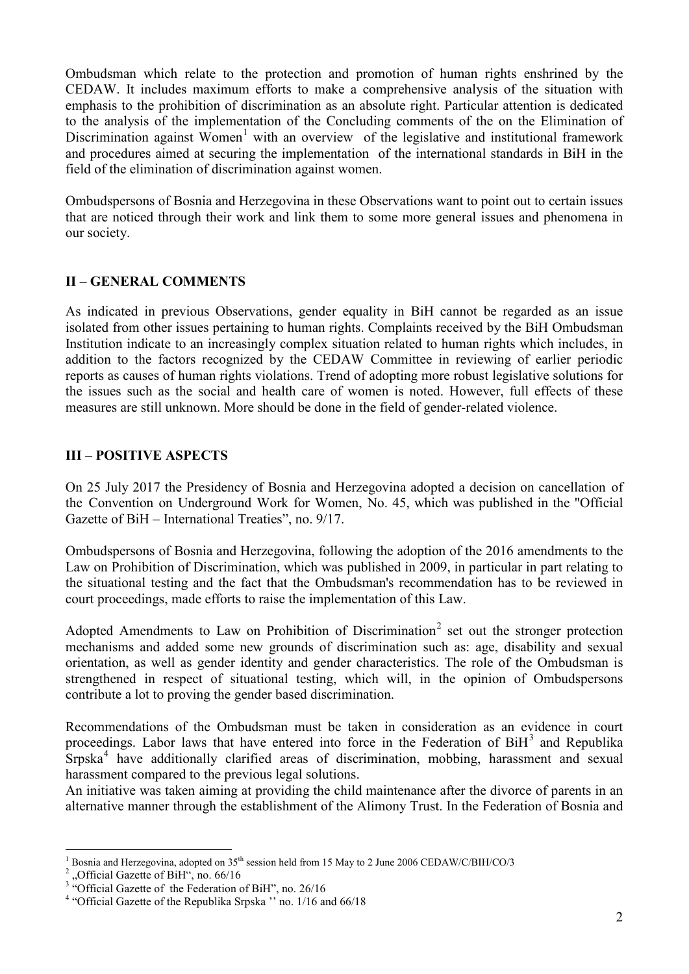Ombudsman which relate to the protection and promotion of human rights enshrined by the CEDAW. It includes maximum efforts to make a comprehensive analysis of the situation with emphasis to the prohibition of discrimination as an absolute right. Particular attention is dedicated to the analysis of the implementation of the Concluding comments of the on the Elimination of Discrimination against Women<sup>[1](#page-1-0)</sup> with an overview of the legislative and institutional framework and procedures aimed at securing the implementation of the international standards in BiH in the field of the elimination of discrimination against women.

Ombudspersons of Bosnia and Herzegovina in these Observations want to point out to certain issues that are noticed through their work and link them to some more general issues and phenomena in our society.

## **II – GENERAL COMMENTS**

As indicated in previous Observations, gender equality in BiH cannot be regarded as an issue isolated from other issues pertaining to human rights. Complaints received by the BiH Ombudsman Institution indicate to an increasingly complex situation related to human rights which includes, in addition to the factors recognized by the CEDAW Committee in reviewing of earlier periodic reports as causes of human rights violations. Trend of adopting more robust legislative solutions for the issues such as the social and health care of women is noted. However, full effects of these measures are still unknown. More should be done in the field of gender-related violence.

### **III – POSITIVE ASPECTS**

On 25 July 2017 the Presidency of Bosnia and Herzegovina adopted a decision on cancellation of the Convention on Underground Work for Women, No. 45, which was published in the "Official Gazette of BiH – International Treaties", no. 9/17.

Ombudspersons of Bosnia and Herzegovina, following the adoption of the 2016 amendments to the Law on Prohibition of Discrimination, which was published in 2009, in particular in part relating to the situational testing and the fact that the Ombudsman's recommendation has to be reviewed in court proceedings, made efforts to raise the implementation of this Law.

Adopted Amendments to Law on Prohibition of Discrimination<sup>[2](#page-1-1)</sup> set out the stronger protection mechanisms and added some new grounds of discrimination such as: age, disability and sexual orientation, as well as gender identity and gender characteristics. The role of the Ombudsman is strengthened in respect of situational testing, which will, in the opinion of Ombudspersons contribute a lot to proving the gender based discrimination.

Recommendations of the Ombudsman must be taken in consideration as an evidence in court proceedings. Labor laws that have entered into force in the Federation of  $\overline{BiH}^3$  $\overline{BiH}^3$  and Republika Srpska<sup>[4](#page-1-3)</sup> have additionally clarified areas of discrimination, mobbing, harassment and sexual harassment compared to the previous legal solutions.

An initiative was taken aiming at providing the child maintenance after the divorce of parents in an alternative manner through the establishment of the Alimony Trust. In the Federation of Bosnia and

<span id="page-1-0"></span><sup>&</sup>lt;sup>1</sup> Bosnia and Herzegovina, adopted on 35<sup>th</sup> session held from 15 May to 2 June 2006 CEDAW/C/BIH/CO/3<sup>2</sup>, Official Gazette of BiH<sup>\*\*</sup>, no. 66/16<br><sup>3</sup> "Official Gazette of the Federation of BiH", no. 26/16<br><sup>4</sup> "Official Ga

<span id="page-1-1"></span>

<span id="page-1-2"></span>

<span id="page-1-3"></span>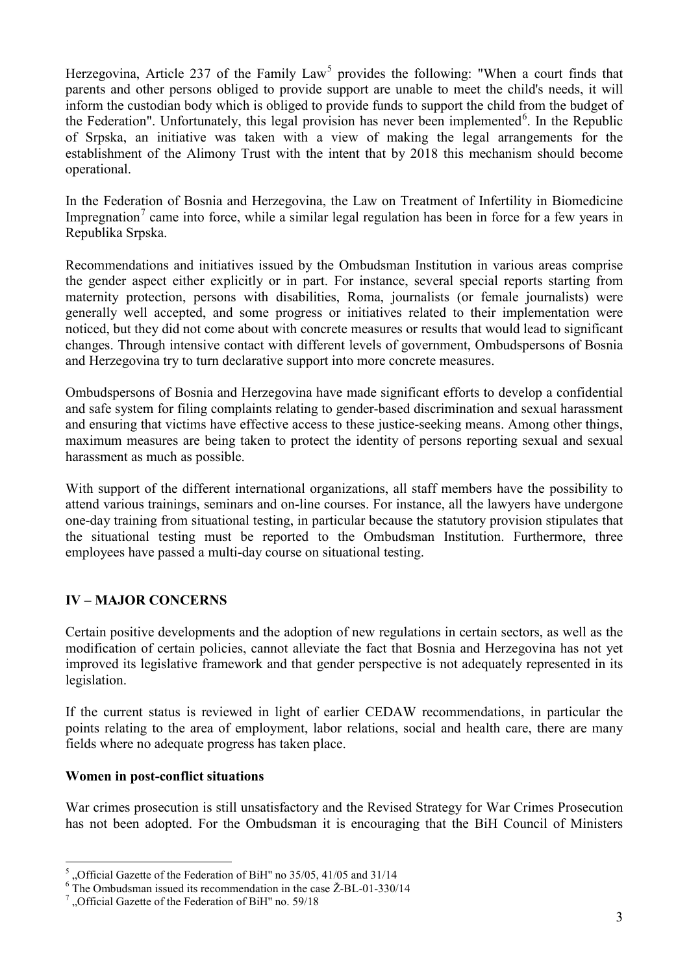Herzegovina, Article 237 of the Family Law<sup>[5](#page-2-0)</sup> provides the following: "When a court finds that parents and other persons obliged to provide support are unable to meet the child's needs, it will inform the custodian body which is obliged to provide funds to support the child from the budget of the Federation". Unfortunately, this legal provision has never been implemented<sup>[6](#page-2-1)</sup>. In the Republic of Srpska, an initiative was taken with a view of making the legal arrangements for the establishment of the Alimony Trust with the intent that by 2018 this mechanism should become operational.

In the Federation of Bosnia and Herzegovina, the Law on Treatment of Infertility in Biomedicine Impregnation<sup>[7](#page-2-2)</sup> came into force, while a similar legal regulation has been in force for a few years in Republika Srpska.

Recommendations and initiatives issued by the Ombudsman Institution in various areas comprise the gender aspect either explicitly or in part. For instance, several special reports starting from maternity protection, persons with disabilities, Roma, journalists (or female journalists) were generally well accepted, and some progress or initiatives related to their implementation were noticed, but they did not come about with concrete measures or results that would lead to significant changes. Through intensive contact with different levels of government, Ombudspersons of Bosnia and Herzegovina try to turn declarative support into more concrete measures.

Ombudspersons of Bosnia and Herzegovina have made significant efforts to develop a confidential and safe system for filing complaints relating to gender-based discrimination and sexual harassment and ensuring that victims have effective access to these justice-seeking means. Among other things, maximum measures are being taken to protect the identity of persons reporting sexual and sexual harassment as much as possible.

With support of the different international organizations, all staff members have the possibility to attend various trainings, seminars and on-line courses. For instance, all the lawyers have undergone one-day training from situational testing, in particular because the statutory provision stipulates that the situational testing must be reported to the Ombudsman Institution. Furthermore, three employees have passed a multi-day course on situational testing.

# **IV – MAJOR CONCERNS**

Certain positive developments and the adoption of new regulations in certain sectors, as well as the modification of certain policies, cannot alleviate the fact that Bosnia and Herzegovina has not yet improved its legislative framework and that gender perspective is not adequately represented in its legislation.

If the current status is reviewed in light of earlier CEDAW recommendations, in particular the points relating to the area of employment, labor relations, social and health care, there are many fields where no adequate progress has taken place.

### **Women in post-conflict situations**

War crimes prosecution is still unsatisfactory and the Revised Strategy for War Crimes Prosecution has not been adopted. For the Ombudsman it is encouraging that the BiH Council of Ministers

<span id="page-2-0"></span> $5$ , Official Gazette of the Federation of BiH" no 35/05, 41/05 and 31/14

<span id="page-2-1"></span><sup>&</sup>lt;sup>6</sup> The Ombudsman issued its recommendation in the case  $\text{\textup{Z-BL-01-330/14}}$ <br><sup>7</sup> "Official Gazette of the Federation of BiH" no. 59/18

<span id="page-2-2"></span>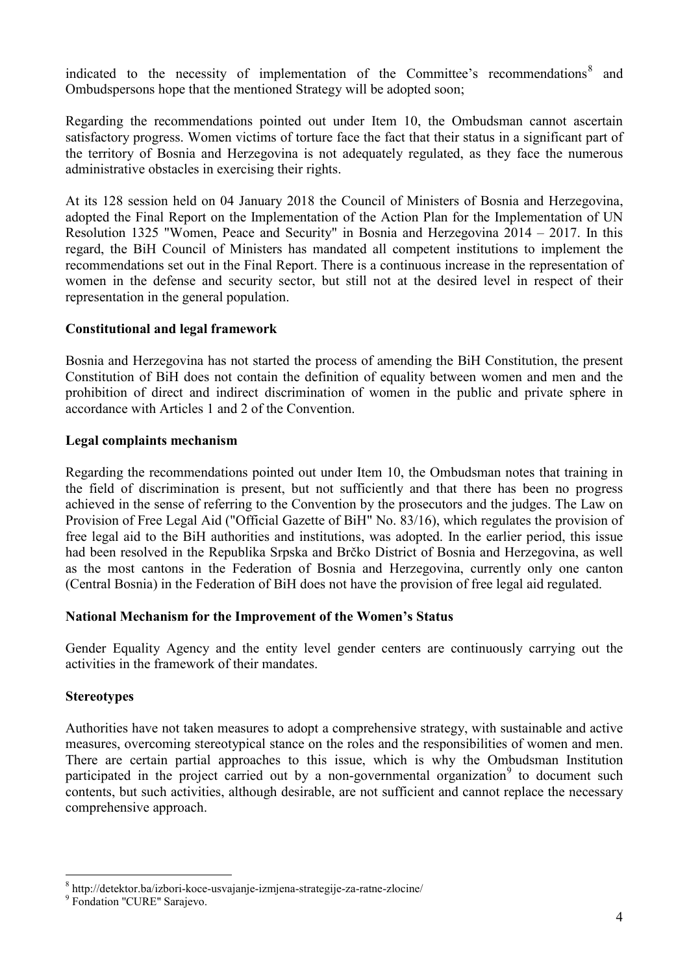indicated to the necessity of implementation of the Committee's recommendations $\delta$  and Ombudspersons hope that the mentioned Strategy will be adopted soon;

Regarding the recommendations pointed out under Item 10, the Ombudsman cannot ascertain satisfactory progress. Women victims of torture face the fact that their status in a significant part of the territory of Bosnia and Herzegovina is not adequately regulated, as they face the numerous administrative obstacles in exercising their rights.

At its 128 session held on 04 January 2018 the Council of Ministers of Bosnia and Herzegovina, adopted the Final Report on the Implementation of the Action Plan for the Implementation of UN Resolution 1325 "Women, Peace and Security" in Bosnia and Herzegovina 2014 – 2017. In this regard, the BiH Council of Ministers has mandated all competent institutions to implement the recommendations set out in the Final Report. There is a continuous increase in the representation of women in the defense and security sector, but still not at the desired level in respect of their representation in the general population.

### **Constitutional and legal framework**

Bosnia and Herzegovina has not started the process of amending the BiH Constitution, the present Constitution of BiH does not contain the definition of equality between women and men and the prohibition of direct and indirect discrimination of women in the public and private sphere in accordance with Articles 1 and 2 of the Convention.

#### **Legal complaints mechanism**

Regarding the recommendations pointed out under Item 10, the Ombudsman notes that training in the field of discrimination is present, but not sufficiently and that there has been no progress achieved in the sense of referring to the Convention by the prosecutors and the judges. The Law on Provision of Free Legal Aid ("Official Gazette of BiH" No. 83/16), which regulates the provision of free legal aid to the BiH authorities and institutions, was adopted. In the earlier period, this issue had been resolved in the Republika Srpska and Brčko District of Bosnia and Herzegovina, as well as the most cantons in the Federation of Bosnia and Herzegovina, currently only one canton (Central Bosnia) in the Federation of BiH does not have the provision of free legal aid regulated.

#### **National Mechanism for the Improvement of the Women's Status**

Gender Equality Agency and the entity level gender centers are continuously carrying out the activities in the framework of their mandates.

#### **Stereotypes**

Authorities have not taken measures to adopt a comprehensive strategy, with sustainable and active measures, overcoming stereotypical stance on the roles and the responsibilities of women and men. There are certain partial approaches to this issue, which is why the Ombudsman Institution participated in the project carried out by a non-governmental organization<sup>[9](#page-3-1)</sup> to document such contents, but such activities, although desirable, are not sufficient and cannot replace the necessary comprehensive approach.

<span id="page-3-0"></span><sup>8</sup> http://detektor.ba/izbori-koce-usvajanje-izmjena-strategije-za-ratne-zlocine/ <sup>9</sup> Fondation ''CURE'' Sarajevo.

<span id="page-3-1"></span>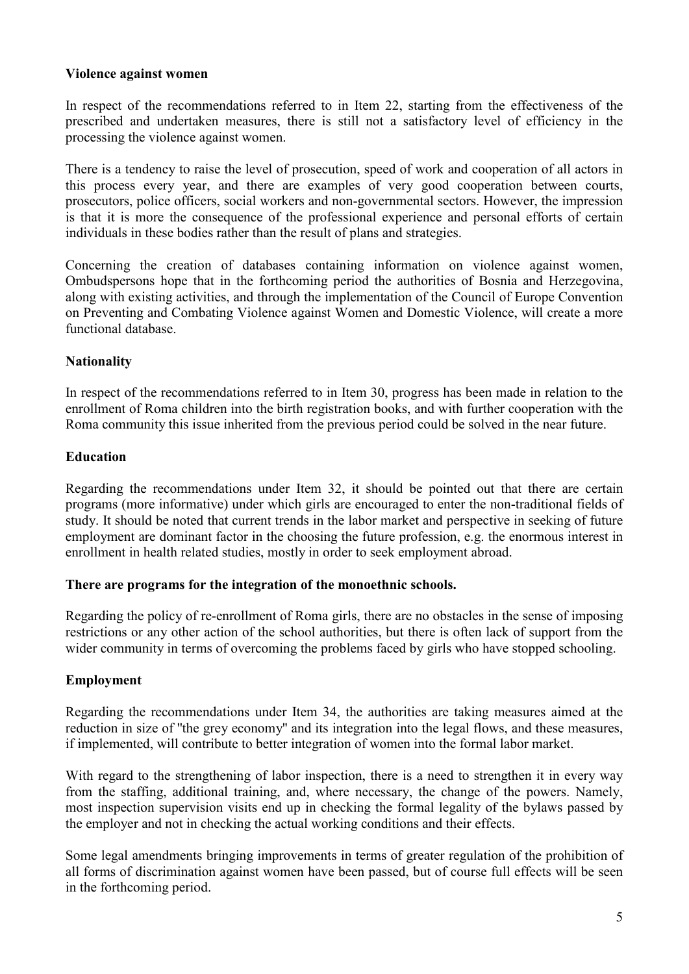### **Violence against women**

In respect of the recommendations referred to in Item 22, starting from the effectiveness of the prescribed and undertaken measures, there is still not a satisfactory level of efficiency in the processing the violence against women.

There is a tendency to raise the level of prosecution, speed of work and cooperation of all actors in this process every year, and there are examples of very good cooperation between courts, prosecutors, police officers, social workers and non-governmental sectors. However, the impression is that it is more the consequence of the professional experience and personal efforts of certain individuals in these bodies rather than the result of plans and strategies.

Concerning the creation of databases containing information on violence against women, Ombudspersons hope that in the forthcoming period the authorities of Bosnia and Herzegovina, along with existing activities, and through the implementation of the Council of Europe Convention on Preventing and Combating Violence against Women and Domestic Violence, will create a more functional database.

### **Nationality**

In respect of the recommendations referred to in Item 30, progress has been made in relation to the enrollment of Roma children into the birth registration books, and with further cooperation with the Roma community this issue inherited from the previous period could be solved in the near future.

#### **Education**

Regarding the recommendations under Item 32, it should be pointed out that there are certain programs (more informative) under which girls are encouraged to enter the non-traditional fields of study. It should be noted that current trends in the labor market and perspective in seeking of future employment are dominant factor in the choosing the future profession, e.g. the enormous interest in enrollment in health related studies, mostly in order to seek employment abroad.

#### **There are programs for the integration of the monoethnic schools.**

Regarding the policy of re-enrollment of Roma girls, there are no obstacles in the sense of imposing restrictions or any other action of the school authorities, but there is often lack of support from the wider community in terms of overcoming the problems faced by girls who have stopped schooling.

### **Employment**

Regarding the recommendations under Item 34, the authorities are taking measures aimed at the reduction in size of ''the grey economy'' and its integration into the legal flows, and these measures, if implemented, will contribute to better integration of women into the formal labor market.

With regard to the strengthening of labor inspection, there is a need to strengthen it in every way from the staffing, additional training, and, where necessary, the change of the powers. Namely, most inspection supervision visits end up in checking the formal legality of the bylaws passed by the employer and not in checking the actual working conditions and their effects.

Some legal amendments bringing improvements in terms of greater regulation of the prohibition of all forms of discrimination against women have been passed, but of course full effects will be seen in the forthcoming period.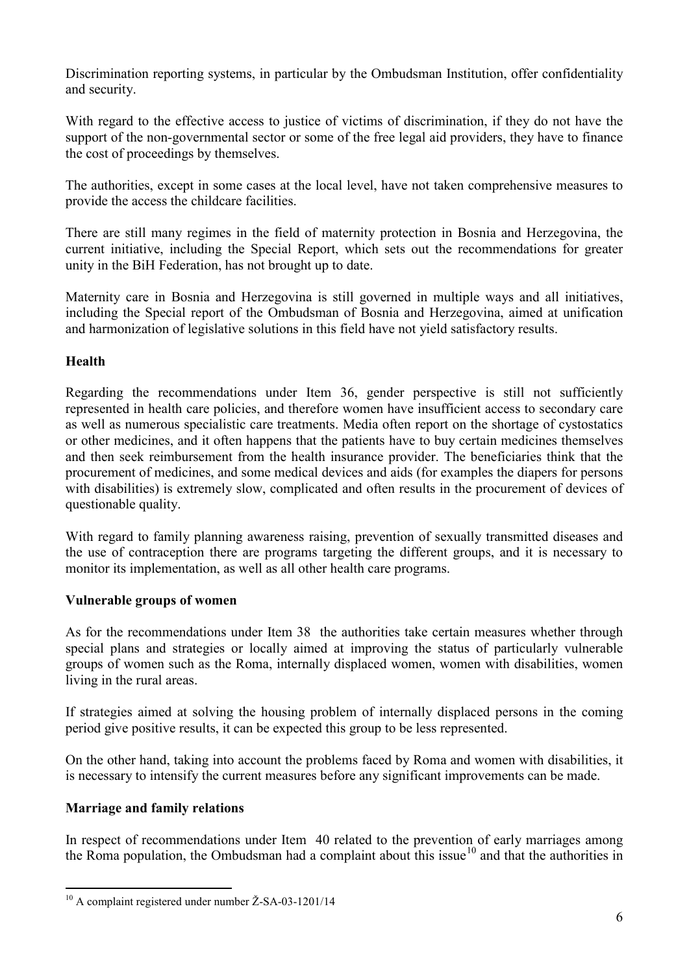Discrimination reporting systems, in particular by the Ombudsman Institution, offer confidentiality and security.

With regard to the effective access to justice of victims of discrimination, if they do not have the support of the non-governmental sector or some of the free legal aid providers, they have to finance the cost of proceedings by themselves.

The authorities, except in some cases at the local level, have not taken comprehensive measures to provide the access the childcare facilities.

There are still many regimes in the field of maternity protection in Bosnia and Herzegovina, the current initiative, including the Special Report, which sets out the recommendations for greater unity in the BiH Federation, has not brought up to date.

Maternity care in Bosnia and Herzegovina is still governed in multiple ways and all initiatives, including the Special report of the Ombudsman of Bosnia and Herzegovina, aimed at unification and harmonization of legislative solutions in this field have not yield satisfactory results.

# **Health**

Regarding the recommendations under Item 36, gender perspective is still not sufficiently represented in health care policies, and therefore women have insufficient access to secondary care as well as numerous specialistic care treatments. Media often report on the shortage of cystostatics or other medicines, and it often happens that the patients have to buy certain medicines themselves and then seek reimbursement from the health insurance provider. The beneficiaries think that the procurement of medicines, and some medical devices and aids (for examples the diapers for persons with disabilities) is extremely slow, complicated and often results in the procurement of devices of questionable quality.

With regard to family planning awareness raising, prevention of sexually transmitted diseases and the use of contraception there are programs targeting the different groups, and it is necessary to monitor its implementation, as well as all other health care programs.

# **Vulnerable groups of women**

As for the recommendations under Item 38 the authorities take certain measures whether through special plans and strategies or locally aimed at improving the status of particularly vulnerable groups of women such as the Roma, internally displaced women, women with disabilities, women living in the rural areas.

If strategies aimed at solving the housing problem of internally displaced persons in the coming period give positive results, it can be expected this group to be less represented.

On the other hand, taking into account the problems faced by Roma and women with disabilities, it is necessary to intensify the current measures before any significant improvements can be made.

# **Marriage and family relations**

In respect of recommendations under Item 40 related to the prevention of early marriages among the Roma population, the Ombudsman had a complaint about this issue<sup>[10](#page-5-0)</sup> and that the authorities in

<span id="page-5-0"></span> <sup>10</sup> A complaint registered under number Ž-SA-03-1201/14